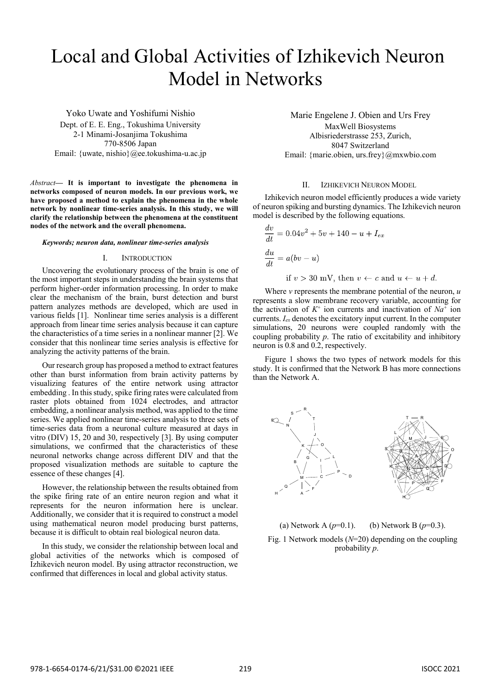# Local and Global Activities of Izhikevich Neuron Model in Networks

Yoko Uwate and Yoshifumi Nishio Dept. of E. E. Eng., Tokushima University 2-1 Minami-Josanjima Tokushima 770-8506 Japan Email: {uwate, nishio}@ee.tokushima-u.ac.jp

*Abstract***— It is important to investigate the phenomena in networks composed of neuron models. In our previous work, we have proposed a method to explain the phenomena in the whole network by nonlinear time-series analysis. In this study, we will clarify the relationship between the phenomena at the constituent nodes of the network and the overall phenomena.** 

#### *Keywords; neuron data, nonlinear time-series analysis*

## I. INTRODUCTION

Uncovering the evolutionary process of the brain is one of the most important steps in understanding the brain systems that perform higher-order information processing. In order to make clear the mechanism of the brain, burst detection and burst pattern analyzes methods are developed, which are used in various fields [1]. Nonlinear time series analysis is a different approach from linear time series analysis because it can capture the characteristics of a time series in a nonlinear manner [2]. We consider that this nonlinear time series analysis is effective for analyzing the activity patterns of the brain.

Our research group has proposed a method to extract features other than burst information from brain activity patterns by visualizing features of the entire network using attractor embedding . In this study, spike firing rates were calculated from raster plots obtained from 1024 electrodes, and attractor embedding, a nonlinear analysis method, was applied to the time series. We applied nonlinear time-series analysis to three sets of time-series data from a neuronal culture measured at days in vitro (DIV) 15, 20 and 30, respectively [3]. By using computer simulations, we confirmed that the characteristics of these neuronal networks change across different DIV and that the proposed visualization methods are suitable to capture the essence of these changes [4].

However, the relationship between the results obtained from the spike firing rate of an entire neuron region and what it represents for the neuron information here is unclear. Additionally, we consider that it is required to construct a model using mathematical neuron model producing burst patterns, because it is difficult to obtain real biological neuron data.

In this study, we consider the relationship between local and global activities of the networks which is composed of Izhikevich neuron model. By using attractor reconstruction, we confirmed that differences in local and global activity status.

Marie Engelene J. Obien and Urs Frey MaxWell Biosystems Albisriederstrasse 253, Zurich, 8047 Switzerland Email: {marie.obien, urs.frey}@mxwbio.com

## II. IZHIKEVICH NEURON MODEL

Izhikevich neuron model efficiently produces a wide variety of neuron spiking and bursting dynamics. The Izhikevich neuron model is described by the following equations.

$$
\frac{dv}{dt} = 0.04v^2 + 5v + 140 - u + I_{ex}
$$
  

$$
\frac{du}{dt} = a(bv - u)
$$
  
if  $v > 30$  mV, then  $v \leftarrow c$  and  $u \leftarrow u + d$ .

Where *v* represents the membrane potential of the neuron, *u* represents a slow membrane recovery variable, accounting for the activation of  $K^+$  ion currents and inactivation of  $Na^+$  ion currents. *Iex* denotes the excitatory input current. In the computer simulations, 20 neurons were coupled randomly with the coupling probability *p*. The ratio of excitability and inhibitory neuron is 0.8 and 0.2, respectively.

Figure 1 shows the two types of network models for this study. It is confirmed that the Network B has more connections than the Network A.



(a) Network A  $(p=0.1)$ . (b) Network B  $(p=0.3)$ . Fig. 1 Network models (*N*=20) depending on the coupling probability *p*.